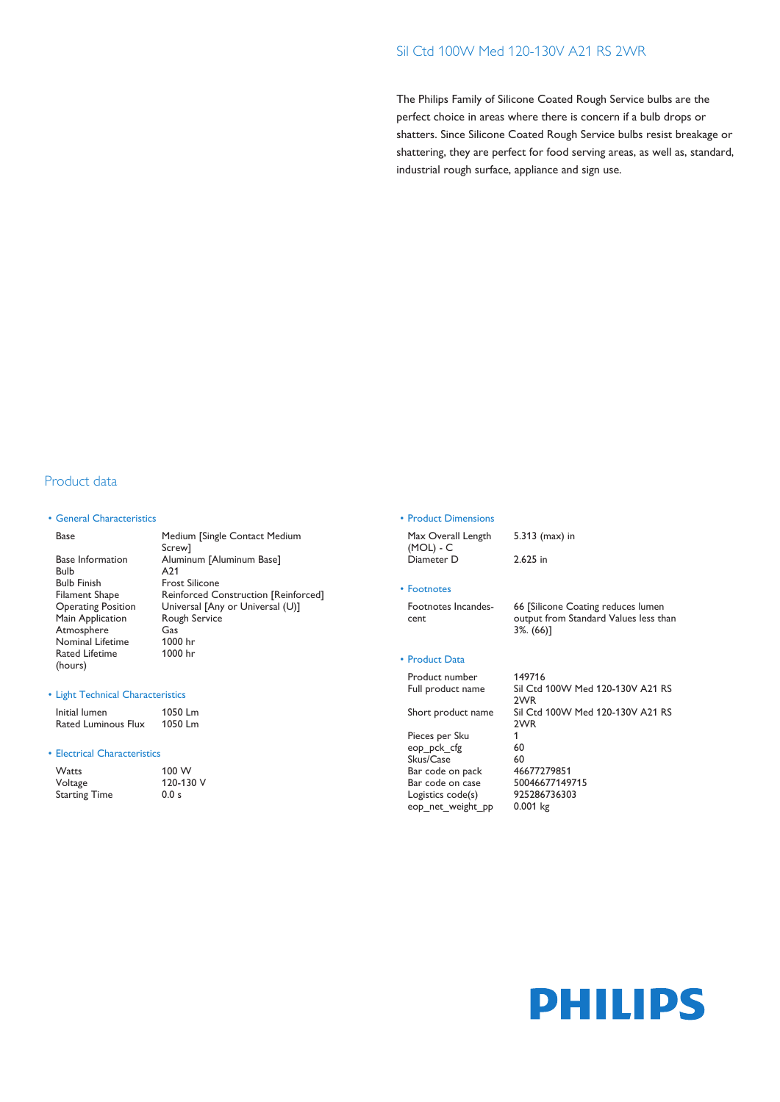## Sil Ctd 100W Med 120-130V A21 RS 2WR

The Philips Family of Silicone Coated Rough Service bulbs are the perfect choice in areas where there is concern if a bulb drops or shatters. Since Silicone Coated Rough Service bulbs resist breakage or shattering, they are perfect for food serving areas, as well as, standard, industrial rough surface, appliance and sign use.

# Product data

### • General Characteristics

Base Medium [Single Contact Medium Screw] Base Information Aluminum [Aluminum Base] Bulb A21 Bulb Finish Frost Silicone<br>Filament Shape Reinforced Co Filament Shape Reinforced Construction [Reinforced]<br>
Operating Position Universal [Any or Universal (U)] Universal [Any or Universal (U)] Main Application Rough Service Atmosphere Gas<br>
Nominal Lifetime 1000 hr Nominal Lifetime Rated Lifetime (hours) 1000 hr

### • Light Technical Characteristics

Initial lumen 1050 Lm<br>Rated Luminous Flux 1050 Lm Rated Luminous Flux

### • Electrical Characteristics

| Watts                | 100 W<br>120-130 V |  |  |
|----------------------|--------------------|--|--|
| Voltage              |                    |  |  |
| <b>Starting Time</b> | 0.0 s              |  |  |

#### • Product Dimensions

| Max Overall Length | $5.313$ (max) in |
|--------------------|------------------|
| (MOL) - C          |                  |
| Diameter D         | 2.625 in         |

#### • Footnotes

Footnotes Incandescent

66 [Silicone Coating reduces lumen output from Standard Values less than 3%. (66)]

### • Product Data

Product number 149716 2WR 2WR Pieces per Sku 1 eop\_pck\_cfg 60 Skus/Case 60<br>Bar code on pack 46677279851 Bar code on pack  $46677279851$ <br>Bar code on case 50046677149715 Bar code on case 500466771497<br>
Logistics code(s) 925286736303 Logistics code(s)

Full product name Sil Ctd 100W Med 120-130V A21 RS Short product name Sil Ctd 100W Med 120-130V A21 RS eop\_net\_weight\_pp 0.001 kg